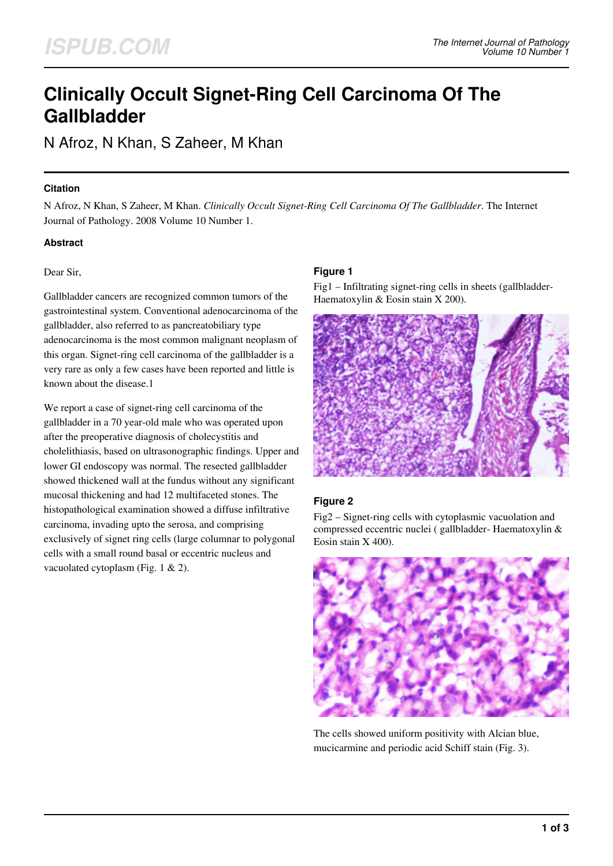# **Clinically Occult Signet-Ring Cell Carcinoma Of The Gallbladder**

N Afroz, N Khan, S Zaheer, M Khan

## **Citation**

N Afroz, N Khan, S Zaheer, M Khan. *Clinically Occult Signet-Ring Cell Carcinoma Of The Gallbladder*. The Internet Journal of Pathology. 2008 Volume 10 Number 1.

# **Abstract**

#### Dear Sir,

Gallbladder cancers are recognized common tumors of the gastrointestinal system. Conventional adenocarcinoma of the gallbladder, also referred to as pancreatobiliary type adenocarcinoma is the most common malignant neoplasm of this organ. Signet-ring cell carcinoma of the gallbladder is a very rare as only a few cases have been reported and little is known about the disease.1

We report a case of signet-ring cell carcinoma of the gallbladder in a 70 year-old male who was operated upon after the preoperative diagnosis of cholecystitis and cholelithiasis, based on ultrasonographic findings. Upper and lower GI endoscopy was normal. The resected gallbladder showed thickened wall at the fundus without any significant mucosal thickening and had 12 multifaceted stones. The histopathological examination showed a diffuse infiltrative carcinoma, invading upto the serosa, and comprising exclusively of signet ring cells (large columnar to polygonal cells with a small round basal or eccentric nucleus and vacuolated cytoplasm (Fig. 1 & 2).

## **Figure 1**

Fig1 – Infiltrating signet-ring cells in sheets (gallbladder-Haematoxylin & Eosin stain X 200).



# **Figure 2**

Fig2 – Signet-ring cells with cytoplasmic vacuolation and compressed eccentric nuclei ( gallbladder- Haematoxylin & Eosin stain X 400).



The cells showed uniform positivity with Alcian blue, mucicarmine and periodic acid Schiff stain (Fig. 3).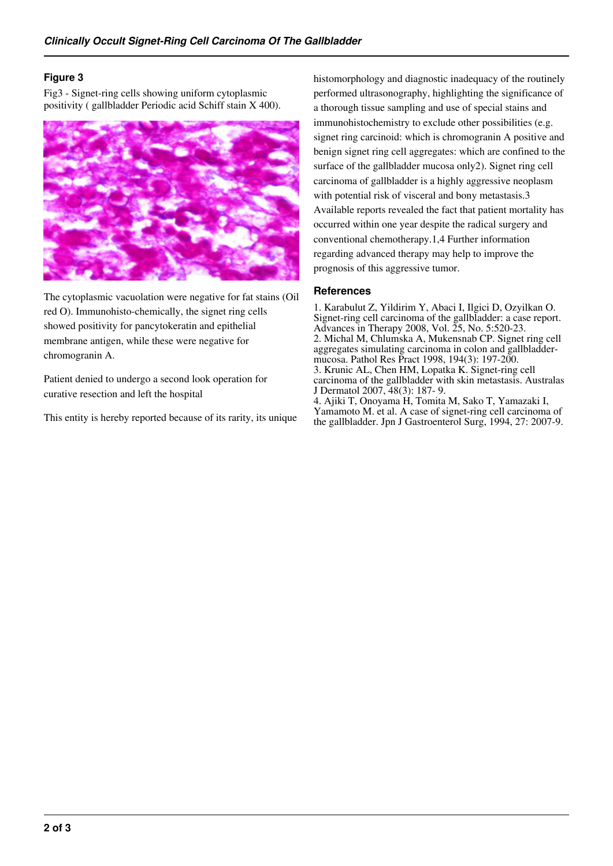# **Figure 3**

Fig3 - Signet-ring cells showing uniform cytoplasmic positivity ( gallbladder Periodic acid Schiff stain X 400).



The cytoplasmic vacuolation were negative for fat stains (Oil red O). Immunohisto-chemically, the signet ring cells showed positivity for pancytokeratin and epithelial membrane antigen, while these were negative for chromogranin A.

Patient denied to undergo a second look operation for curative resection and left the hospital

This entity is hereby reported because of its rarity, its unique

histomorphology and diagnostic inadequacy of the routinely performed ultrasonography, highlighting the significance of a thorough tissue sampling and use of special stains and immunohistochemistry to exclude other possibilities (e.g. signet ring carcinoid: which is chromogranin A positive and benign signet ring cell aggregates: which are confined to the surface of the gallbladder mucosa only2). Signet ring cell carcinoma of gallbladder is a highly aggressive neoplasm with potential risk of visceral and bony metastasis.3 Available reports revealed the fact that patient mortality has occurred within one year despite the radical surgery and conventional chemotherapy.1,4 Further information regarding advanced therapy may help to improve the prognosis of this aggressive tumor.

## **References**

1. Karabulut Z, Yildirim Y, Abaci I, Ilgici D, Ozyilkan O. Signet-ring cell carcinoma of the gallbladder: a case report. Advances in Therapy 2008, Vol. 25, No. 5:520-23. 2. Michal M, Chlumska A, Mukensnab CP. Signet ring cell aggregates simulating carcinoma in colon and gallbladdermucosa. Pathol Res Pract 1998, 194(3): 197-200. 3. Krunic AL, Chen HM, Lopatka K. Signet-ring cell carcinoma of the gallbladder with skin metastasis. Australas J Dermatol 2007, 48(3): 187- 9. 4. Ajiki T, Onoyama H, Tomita M, Sako T, Yamazaki I, Yamamoto M. et al. A case of signet-ring cell carcinoma of the gallbladder. Jpn J Gastroenterol Surg, 1994, 27: 2007-9.